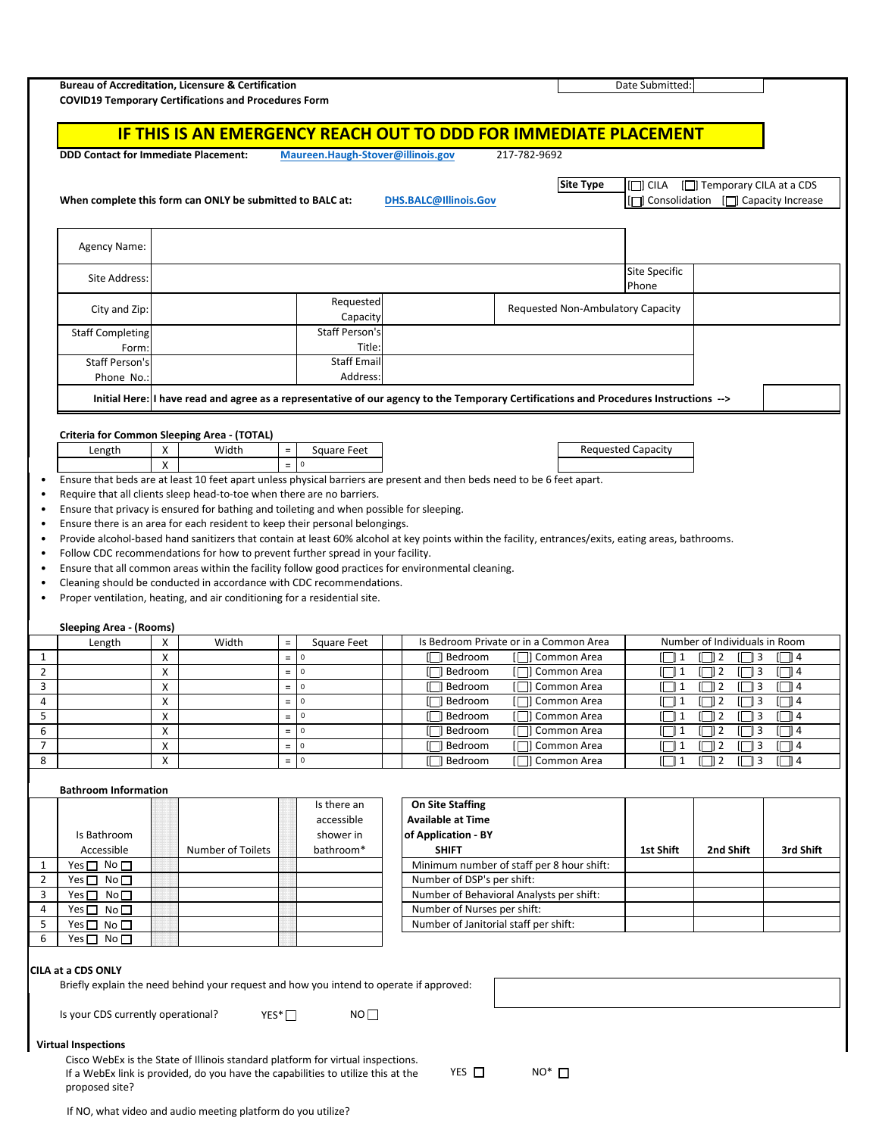| <b>Bureau of Accreditation, Licensure &amp; Certification</b>                                                                                                                                                                          |        | <b>COVID19 Temporary Certifications and Procedures Form</b>                                                                                                         |                                                                              |                                   |                                                                                                                                       |              |                                   |                                                         |                                                                        |                      |
|----------------------------------------------------------------------------------------------------------------------------------------------------------------------------------------------------------------------------------------|--------|---------------------------------------------------------------------------------------------------------------------------------------------------------------------|------------------------------------------------------------------------------|-----------------------------------|---------------------------------------------------------------------------------------------------------------------------------------|--------------|-----------------------------------|---------------------------------------------------------|------------------------------------------------------------------------|----------------------|
|                                                                                                                                                                                                                                        |        |                                                                                                                                                                     |                                                                              |                                   | <b>IF THIS IS AN EMERGENCY REACH OUT TO DDD FOR IMMEDIATE PLACEMENT</b>                                                               |              |                                   |                                                         |                                                                        |                      |
| <b>DDD Contact for Immediate Placement:</b>                                                                                                                                                                                            |        |                                                                                                                                                                     |                                                                              | Maureen.Haugh-Stover@illinois.gov |                                                                                                                                       | 217-782-9692 |                                   |                                                         |                                                                        |                      |
|                                                                                                                                                                                                                                        |        |                                                                                                                                                                     |                                                                              |                                   |                                                                                                                                       |              |                                   |                                                         |                                                                        |                      |
|                                                                                                                                                                                                                                        |        | When complete this form can ONLY be submitted to BALC at:                                                                                                           |                                                                              |                                   | DHS.BALC@Illinois.Gov                                                                                                                 |              | <b>Site Type</b>                  | $\Box$ CILA                                             | [□] Temporary CILA at a CDS<br>[C] Consolidation [C] Capacity Increase |                      |
|                                                                                                                                                                                                                                        |        |                                                                                                                                                                     |                                                                              |                                   |                                                                                                                                       |              |                                   |                                                         |                                                                        |                      |
|                                                                                                                                                                                                                                        |        |                                                                                                                                                                     |                                                                              |                                   |                                                                                                                                       |              |                                   |                                                         |                                                                        |                      |
| <b>Agency Name:</b>                                                                                                                                                                                                                    |        |                                                                                                                                                                     |                                                                              |                                   |                                                                                                                                       |              |                                   |                                                         |                                                                        |                      |
| Site Address:                                                                                                                                                                                                                          |        |                                                                                                                                                                     |                                                                              |                                   |                                                                                                                                       |              |                                   | <b>Site Specific</b>                                    |                                                                        |                      |
|                                                                                                                                                                                                                                        |        |                                                                                                                                                                     |                                                                              | Requested                         |                                                                                                                                       |              |                                   | Phone                                                   |                                                                        |                      |
| City and Zip:                                                                                                                                                                                                                          |        |                                                                                                                                                                     |                                                                              | Capacity                          |                                                                                                                                       |              | Requested Non-Ambulatory Capacity |                                                         |                                                                        |                      |
| <b>Staff Completing</b>                                                                                                                                                                                                                |        |                                                                                                                                                                     |                                                                              | <b>Staff Person's</b>             |                                                                                                                                       |              |                                   |                                                         |                                                                        |                      |
| Form:<br><b>Staff Person's</b>                                                                                                                                                                                                         |        |                                                                                                                                                                     |                                                                              | Title:<br><b>Staff Email</b>      |                                                                                                                                       |              |                                   |                                                         |                                                                        |                      |
| Phone No.:                                                                                                                                                                                                                             |        |                                                                                                                                                                     |                                                                              | Address:                          |                                                                                                                                       |              |                                   |                                                         |                                                                        |                      |
|                                                                                                                                                                                                                                        |        |                                                                                                                                                                     |                                                                              |                                   | Initial Here: I have read and agree as a representative of our agency to the Temporary Certifications and Procedures Instructions --> |              |                                   |                                                         |                                                                        |                      |
|                                                                                                                                                                                                                                        |        |                                                                                                                                                                     |                                                                              |                                   |                                                                                                                                       |              |                                   |                                                         |                                                                        |                      |
|                                                                                                                                                                                                                                        |        | Criteria for Common Sleeping Area - (TOTAL)                                                                                                                         |                                                                              |                                   |                                                                                                                                       |              |                                   |                                                         |                                                                        |                      |
| Length                                                                                                                                                                                                                                 | Χ      | Width                                                                                                                                                               | $\equiv$                                                                     | <b>Square Feet</b>                |                                                                                                                                       |              |                                   | <b>Requested Capacity</b>                               |                                                                        |                      |
|                                                                                                                                                                                                                                        | X      |                                                                                                                                                                     |                                                                              | $= 0$                             | Ensure that beds are at least 10 feet apart unless physical barriers are present and then beds need to be 6 feet apart.               |              |                                   |                                                         |                                                                        |                      |
|                                                                                                                                                                                                                                        |        | Require that all clients sleep head-to-toe when there are no barriers.                                                                                              |                                                                              |                                   |                                                                                                                                       |              |                                   |                                                         |                                                                        |                      |
|                                                                                                                                                                                                                                        |        | Ensure that privacy is ensured for bathing and toileting and when possible for sleeping.                                                                            |                                                                              |                                   |                                                                                                                                       |              |                                   |                                                         |                                                                        |                      |
|                                                                                                                                                                                                                                        |        |                                                                                                                                                                     | Ensure there is an area for each resident to keep their personal belongings. |                                   |                                                                                                                                       |              |                                   |                                                         |                                                                        |                      |
| Provide alcohol-based hand sanitizers that contain at least 60% alcohol at key points within the facility, entrances/exits, eating areas, bathrooms.<br>Follow CDC recommendations for how to prevent further spread in your facility. |        |                                                                                                                                                                     |                                                                              |                                   |                                                                                                                                       |              |                                   |                                                         |                                                                        |                      |
|                                                                                                                                                                                                                                        |        |                                                                                                                                                                     |                                                                              |                                   |                                                                                                                                       |              |                                   |                                                         |                                                                        |                      |
|                                                                                                                                                                                                                                        |        |                                                                                                                                                                     |                                                                              |                                   | Ensure that all common areas within the facility follow good practices for environmental cleaning.                                    |              |                                   |                                                         |                                                                        |                      |
|                                                                                                                                                                                                                                        |        | Cleaning should be conducted in accordance with CDC recommendations.<br>Proper ventilation, heating, and air conditioning for a residential site.                   |                                                                              |                                   |                                                                                                                                       |              |                                   |                                                         |                                                                        |                      |
|                                                                                                                                                                                                                                        |        |                                                                                                                                                                     |                                                                              |                                   |                                                                                                                                       |              |                                   |                                                         |                                                                        |                      |
| <b>Sleeping Area - (Rooms)</b>                                                                                                                                                                                                         |        |                                                                                                                                                                     |                                                                              |                                   |                                                                                                                                       |              |                                   |                                                         |                                                                        |                      |
| Length                                                                                                                                                                                                                                 | x<br>X | Width                                                                                                                                                               | $\equiv$<br>$\equiv$                                                         | <b>Square Feet</b><br>$\mathsf 0$ | Is Bedroom Private or in a Common Area<br><b>∏</b> ] Bedroom                                                                          |              | I □ Common Area                   | II 11                                                   | Number of Individuals in Room<br>$\Box$ 2<br>$\Box$ 3                  | [     4              |
|                                                                                                                                                                                                                                        | X      |                                                                                                                                                                     | $\equiv$                                                                     | $\mathbf 0$                       | ∏ Bedroom                                                                                                                             |              | [□] Common Area                   | $\parallel \top \parallel 1$                            | $\Box$ 3<br>$\Box$ 2                                                   | $\Box$ 4             |
|                                                                                                                                                                                                                                        | X      |                                                                                                                                                                     | $\equiv$                                                                     | $\mathsf 0$                       | $\parallel$ Bedroom                                                                                                                   |              | [     Common Area                 | $\Box$ 1                                                | $\Box$ 2<br>3 ∏                                                        | [     4              |
|                                                                                                                                                                                                                                        | X<br>X |                                                                                                                                                                     | $=$<br>$\equiv$                                                              | $\overline{0}$<br>$\pmb{0}$       | <b>∏</b> Bedroom<br><b>∏</b> ] Bedroom                                                                                                |              | [□ Common Area<br>[□] Common Area | $\Box$ 1<br>$\begin{array}{ c c } \hline \end{array}$ 1 | $\Box$ 3<br>$\Box$ 2<br>$\Box$ 3<br>$\Box$ 2                           | $\Box$ 4<br>$\Box$ 4 |
|                                                                                                                                                                                                                                        | X      |                                                                                                                                                                     | $\equiv$                                                                     | $\mathsf 0$                       | ll Bedroom                                                                                                                            |              | Common Area                       | $\Box$ 1                                                | 2 ∏<br>∏ 3<br>П.                                                       | $\Box$ 4             |
|                                                                                                                                                                                                                                        | X      |                                                                                                                                                                     | $\equiv$                                                                     | $\mathbf 0$                       | Bedroom                                                                                                                               |              | □ Common Area                     | $\begin{array}{ c c } \hline \end{array}$ 1             | $\Box$ 3<br>$\Box$ 2                                                   | $\Box$ 4             |
|                                                                                                                                                                                                                                        | X      |                                                                                                                                                                     | $\equiv$                                                                     | $\mathbf 0$                       | Bedroom                                                                                                                               |              | Common Area                       | $\Box$ 1                                                | $\Box$ 2<br>∏ 3                                                        | $\boxed{14}$         |
|                                                                                                                                                                                                                                        |        |                                                                                                                                                                     |                                                                              |                                   |                                                                                                                                       |              |                                   |                                                         |                                                                        |                      |
|                                                                                                                                                                                                                                        |        |                                                                                                                                                                     |                                                                              | Is there an                       | On Site Staffing                                                                                                                      |              |                                   |                                                         |                                                                        |                      |
| Is Bathroom                                                                                                                                                                                                                            |        |                                                                                                                                                                     |                                                                              | accessible<br>shower in           | <b>Available at Time</b><br>of Application - BY                                                                                       |              |                                   |                                                         |                                                                        |                      |
| Accessible                                                                                                                                                                                                                             |        | <b>Number of Toilets</b>                                                                                                                                            |                                                                              | bathroom*                         | <b>SHIFT</b>                                                                                                                          |              |                                   | 1st Shift                                               | 2nd Shift                                                              |                      |
| Yes $\square$ No $\square$                                                                                                                                                                                                             |        |                                                                                                                                                                     |                                                                              |                                   | Minimum number of staff per 8 hour shift:                                                                                             |              |                                   |                                                         |                                                                        |                      |
| $Yes \Box No \Box$                                                                                                                                                                                                                     |        |                                                                                                                                                                     |                                                                              |                                   | Number of DSP's per shift:                                                                                                            |              |                                   |                                                         |                                                                        |                      |
| <b>Bathroom Information</b><br>Yes $\square$ No $\square$<br>$Yes \Box No \Box$                                                                                                                                                        |        |                                                                                                                                                                     |                                                                              |                                   | Number of Behavioral Analysts per shift:<br>Number of Nurses per shift:                                                               |              |                                   |                                                         |                                                                        | 3rd Shift            |
| Yes□ No□                                                                                                                                                                                                                               |        |                                                                                                                                                                     |                                                                              |                                   | Number of Janitorial staff per shift:                                                                                                 |              |                                   |                                                         |                                                                        |                      |
| Yes $\Box$ No $\Box$                                                                                                                                                                                                                   |        |                                                                                                                                                                     |                                                                              |                                   |                                                                                                                                       |              |                                   |                                                         |                                                                        |                      |
|                                                                                                                                                                                                                                        |        |                                                                                                                                                                     |                                                                              |                                   |                                                                                                                                       |              |                                   |                                                         |                                                                        |                      |
| CILA at a CDS ONLY                                                                                                                                                                                                                     |        | Briefly explain the need behind your request and how you intend to operate if approved:                                                                             |                                                                              |                                   |                                                                                                                                       |              |                                   |                                                         |                                                                        |                      |
|                                                                                                                                                                                                                                        |        |                                                                                                                                                                     |                                                                              |                                   |                                                                                                                                       |              |                                   |                                                         |                                                                        |                      |
| Is your CDS currently operational?                                                                                                                                                                                                     |        | $YES^{\ast}$                                                                                                                                                        |                                                                              | NO                                |                                                                                                                                       |              |                                   |                                                         |                                                                        |                      |
| <b>Virtual Inspections</b>                                                                                                                                                                                                             |        |                                                                                                                                                                     |                                                                              |                                   |                                                                                                                                       |              |                                   |                                                         |                                                                        |                      |
|                                                                                                                                                                                                                                        |        | Cisco WebEx is the State of Illinois standard platform for virtual inspections.<br>If a WebEx link is provided, do you have the capabilities to utilize this at the |                                                                              |                                   | YES $\Box$                                                                                                                            |              | $NO^*$ $\square$                  |                                                         |                                                                        |                      |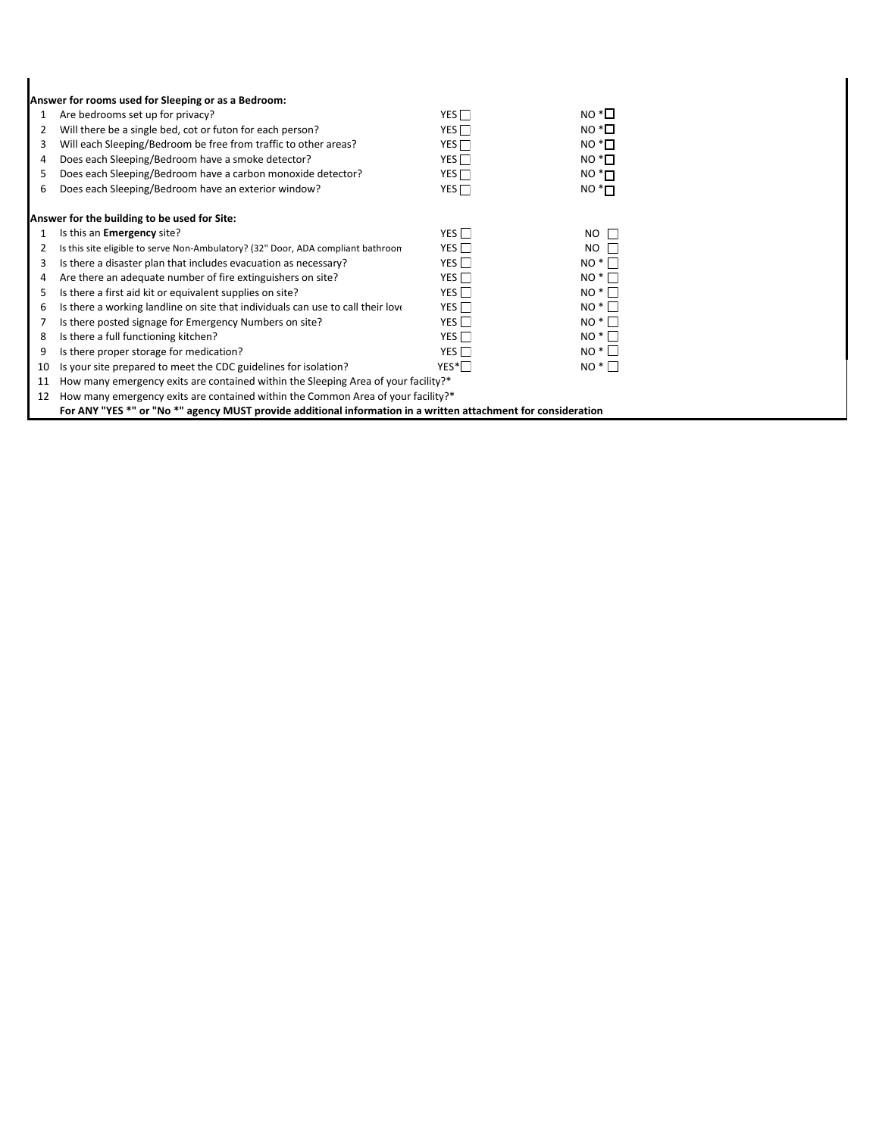|    | Answer for rooms used for Sleeping or as a Bedroom:                                                            |                  |                       |  |  |  |  |
|----|----------------------------------------------------------------------------------------------------------------|------------------|-----------------------|--|--|--|--|
| 1  | Are bedrooms set up for privacy?                                                                               | YES $\Box$       | $NO^*\Box$            |  |  |  |  |
| 2  | Will there be a single bed, cot or futon for each person?                                                      | YES $\Box$       | $NO^{\ast}$ $\Box$    |  |  |  |  |
| 3  | Will each Sleeping/Bedroom be free from traffic to other areas?                                                | YES <sup>T</sup> | $NO*$                 |  |  |  |  |
| 4  | Does each Sleeping/Bedroom have a smoke detector?                                                              | YES              | $NO^{\ast}$ $\square$ |  |  |  |  |
| 5  | Does each Sleeping/Bedroom have a carbon monoxide detector?                                                    | YES $\Box$       | $NO*$ $\Pi$           |  |  |  |  |
| 6  | Does each Sleeping/Bedroom have an exterior window?                                                            | YES              | $NO*$ $\Pi$           |  |  |  |  |
|    | Answer for the building to be used for Site:                                                                   |                  |                       |  |  |  |  |
| 1  | Is this an <b>Emergency</b> site?                                                                              | YES $\Box$       | $NO$ $\Box$           |  |  |  |  |
| 2  | Is this site eligible to serve Non-Ambulatory? (32" Door, ADA compliant bathroom                               | YES $\Box$       | <b>NO</b><br>L        |  |  |  |  |
| 3  | Is there a disaster plan that includes evacuation as necessary?                                                | YES $\Box$       | $NO^*$                |  |  |  |  |
| 4  | Are there an adequate number of fire extinguishers on site?                                                    | YES $\Box$       | $NO^*$                |  |  |  |  |
| 5  | Is there a first aid kit or equivalent supplies on site?                                                       | YES $\Box$       | $NO^*$                |  |  |  |  |
| 6  | Is there a working landline on site that individuals can use to call their love                                | YES $\Box$       | $NO^*$                |  |  |  |  |
|    | Is there posted signage for Emergency Numbers on site?                                                         | YES $\Box$       | $NO^*$                |  |  |  |  |
| 8  | Is there a full functioning kitchen?                                                                           | YES $\Box$       | $NO^*$                |  |  |  |  |
| 9  | Is there proper storage for medication?                                                                        | YES $\Box$       | $NO^*$                |  |  |  |  |
| 10 | Is your site prepared to meet the CDC guidelines for isolation?                                                | $YES^*$          | $NO^*$                |  |  |  |  |
| 11 | How many emergency exits are contained within the Sleeping Area of your facility?*                             |                  |                       |  |  |  |  |
| 12 | How many emergency exits are contained within the Common Area of your facility?*                               |                  |                       |  |  |  |  |
|    | For ANY "YES *" or "No *" agency MUST provide additional information in a written attachment for consideration |                  |                       |  |  |  |  |

 $\blacksquare$